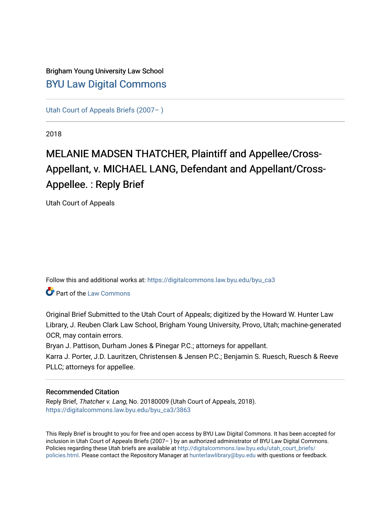# Brigham Young University Law School [BYU Law Digital Commons](https://digitalcommons.law.byu.edu/)

[Utah Court of Appeals Briefs \(2007– \)](https://digitalcommons.law.byu.edu/byu_ca3) 

2018

# MELANIE MADSEN THATCHER, Plaintiff and Appellee/Cross-Appellant, v. MICHAEL LANG, Defendant and Appellant/Cross-Appellee. : Reply Brief

Utah Court of Appeals

Follow this and additional works at: [https://digitalcommons.law.byu.edu/byu\\_ca3](https://digitalcommons.law.byu.edu/byu_ca3?utm_source=digitalcommons.law.byu.edu%2Fbyu_ca3%2F3863&utm_medium=PDF&utm_campaign=PDFCoverPages) 

**Part of the [Law Commons](https://network.bepress.com/hgg/discipline/578?utm_source=digitalcommons.law.byu.edu%2Fbyu_ca3%2F3863&utm_medium=PDF&utm_campaign=PDFCoverPages)** 

Original Brief Submitted to the Utah Court of Appeals; digitized by the Howard W. Hunter Law Library, J. Reuben Clark Law School, Brigham Young University, Provo, Utah; machine-generated OCR, may contain errors.

Bryan J. Pattison, Durham Jones & Pinegar P.C.; attorneys for appellant.

Karra J. Porter, J.D. Lauritzen, Christensen & Jensen P.C.; Benjamin S. Ruesch, Ruesch & Reeve PLLC; attorneys for appellee.

#### Recommended Citation

Reply Brief, Thatcher v. Lang, No. 20180009 (Utah Court of Appeals, 2018). [https://digitalcommons.law.byu.edu/byu\\_ca3/3863](https://digitalcommons.law.byu.edu/byu_ca3/3863?utm_source=digitalcommons.law.byu.edu%2Fbyu_ca3%2F3863&utm_medium=PDF&utm_campaign=PDFCoverPages) 

This Reply Brief is brought to you for free and open access by BYU Law Digital Commons. It has been accepted for inclusion in Utah Court of Appeals Briefs (2007– ) by an authorized administrator of BYU Law Digital Commons. Policies regarding these Utah briefs are available at [http://digitalcommons.law.byu.edu/utah\\_court\\_briefs/](http://digitalcommons.law.byu.edu/utah_court_briefs/policies.html) [policies.html](http://digitalcommons.law.byu.edu/utah_court_briefs/policies.html). Please contact the Repository Manager at hunterlawlibrary@byu.edu with questions or feedback.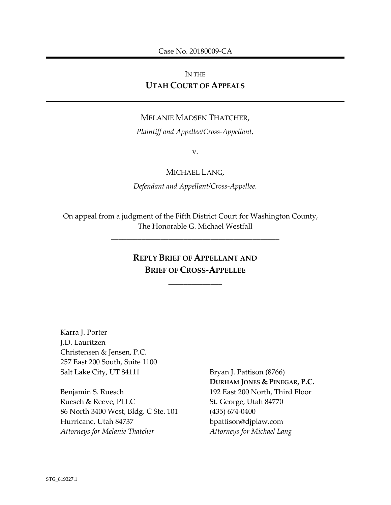#### IN THE **UTAH COURT OF APPEALS**

#### MELANIE MADSEN THATCHER,

*Plaintiff and Appellee/Cross-Appellant,*

v.

MICHAEL LANG,

*Defendant and Appellant/Cross-Appellee.* 

On appeal from a judgment of the Fifth District Court for Washington County, The Honorable G. Michael Westfall

# **REPLY BRIEF OF APPELLANT AND BRIEF OF CROSS-APPELLEE**

\_\_\_\_\_\_\_\_\_\_\_\_\_\_

\_\_\_\_\_\_\_\_\_\_\_\_\_\_\_\_\_\_\_\_\_\_\_\_\_\_\_\_\_\_\_\_\_\_\_\_\_\_\_\_\_\_\_\_

Karra J. Porter J.D. Lauritzen Christensen & Jensen, P.C. 257 East 200 South, Suite 1100 Salt Lake City, UT 84111

Benjamin S. Ruesch Ruesch & Reeve, PLLC 86 North 3400 West, Bldg. C Ste. 101 Hurricane, Utah 84737 *Attorneys for Melanie Thatcher*

Bryan J. Pattison (8766) **DURHAM JONES & PINEGAR, P.C.** 192 East 200 North, Third Floor St. George, Utah 84770 (435) 674-0400 bpattison@djplaw.com *Attorneys for Michael Lang*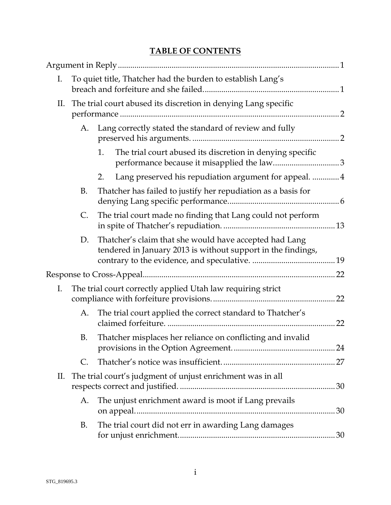# **TABLE OF CONTENTS**

| I. | To quiet title, Thatcher had the burden to establish Lang's |                                                                                                                        |    |
|----|-------------------------------------------------------------|------------------------------------------------------------------------------------------------------------------------|----|
| П. |                                                             | The trial court abused its discretion in denying Lang specific                                                         |    |
|    | А.                                                          | Lang correctly stated the standard of review and fully                                                                 |    |
|    |                                                             | The trial court abused its discretion in denying specific<br>1.                                                        |    |
|    |                                                             | Lang preserved his repudiation argument for appeal. 4<br>2.                                                            |    |
|    | B.                                                          | Thatcher has failed to justify her repudiation as a basis for                                                          |    |
|    | C.                                                          | The trial court made no finding that Lang could not perform                                                            |    |
|    | D.                                                          | Thatcher's claim that she would have accepted had Lang<br>tendered in January 2013 is without support in the findings, |    |
|    |                                                             |                                                                                                                        |    |
| I. |                                                             | The trial court correctly applied Utah law requiring strict                                                            |    |
|    | A.                                                          | The trial court applied the correct standard to Thatcher's                                                             |    |
|    | B.                                                          | Thatcher misplaces her reliance on conflicting and invalid                                                             |    |
|    | C.                                                          |                                                                                                                        |    |
| П. |                                                             | The trial court's judgment of unjust enrichment was in all                                                             |    |
|    | A.                                                          | The unjust enrichment award is moot if Lang prevails                                                                   |    |
|    | B.                                                          | The trial court did not err in awarding Lang damages                                                                   | 30 |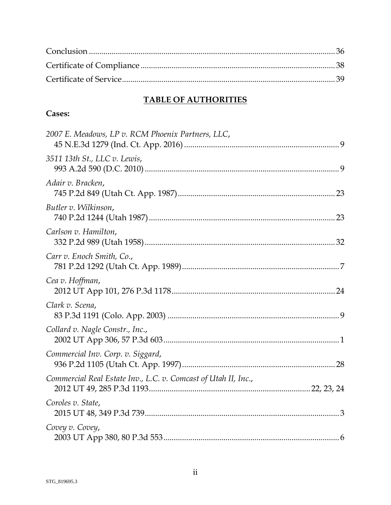# **TABLE OF AUTHORITIES**

# Cases:

| 2007 E. Meadows, LP v. RCM Phoenix Partners, LLC,              |
|----------------------------------------------------------------|
| 3511 13th St., LLC v. Lewis,                                   |
| Adair v. Bracken,                                              |
| Butler v. Wilkinson,                                           |
| Carlson v. Hamilton,                                           |
| Carr v. Enoch Smith, Co.,                                      |
| Cea v. Hoffman,                                                |
| Clark v. Scena,                                                |
| Collard v. Nagle Constr., Inc.,                                |
| Commercial Inv. Corp. v. Siggard,                              |
| Commercial Real Estate Inv., L.C. v. Comcast of Utah II, Inc., |
| Coroles v. State,                                              |
| Covey v. Covey,                                                |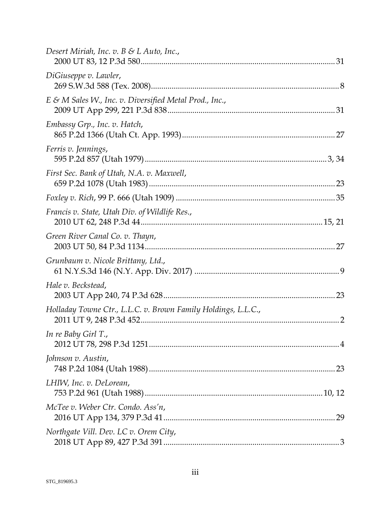| Desert Miriah, Inc. v. $B \& L \wedge u$ Inc.,                |    |
|---------------------------------------------------------------|----|
| DiGiuseppe v. Lawler,                                         |    |
| $E \& M$ Sales W., Inc. v. Diversified Metal Prod., Inc.,     |    |
| Embassy Grp., Inc. v. Hatch,                                  |    |
| Ferris v. Jennings,                                           |    |
| First Sec. Bank of Utah, N.A. v. Maxwell,                     |    |
|                                                               |    |
| Francis v. State, Utah Div. of Wildlife Res.,                 |    |
| Green River Canal Co. v. Thayn,                               |    |
| Grunbaum v. Nicole Brittany, Ltd.,                            |    |
| Hale v. Beckstead,                                            |    |
| Holladay Towne Ctr., L.L.C. v. Brown Family Holdings, L.L.C., |    |
| In re Baby Girl T.,                                           |    |
| Johnson v. Austin,                                            |    |
| LHIW, Inc. v. DeLorean,                                       |    |
| McTee v. Weber Ctr. Condo. Ass'n,                             | 29 |
| Northgate Vill. Dev. LC v. Orem City,                         |    |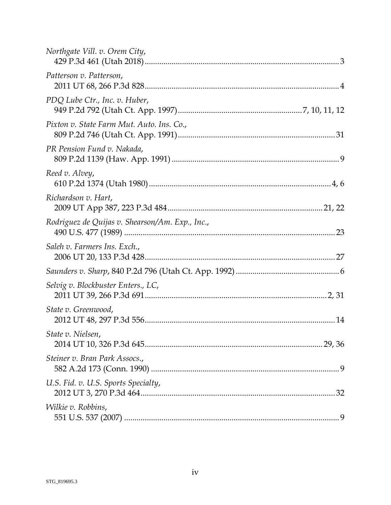| Northgate Vill. v. Orem City,                   |  |
|-------------------------------------------------|--|
| Patterson v. Patterson,                         |  |
| PDQ Lube Ctr., Inc. v. Huber,                   |  |
| Pixton v. State Farm Mut. Auto. Ins. Co.,       |  |
| PR Pension Fund v. Nakada,                      |  |
| Reed v. Alvey,                                  |  |
| Richardson v. Hart,                             |  |
| Rodriguez de Quijas v. Shearson/Am. Exp., Inc., |  |
| Saleh v. Farmers Ins. Exch.,                    |  |
|                                                 |  |
| Selvig v. Blockbuster Enters., LC,              |  |
| State v. Greenwood,                             |  |
| State v. Nielsen,                               |  |
| Steiner v. Bran Park Assocs.,                   |  |
| U.S. Fid. v. U.S. Sports Specialty,             |  |
| <i>Wilkie v. Robbins,</i>                       |  |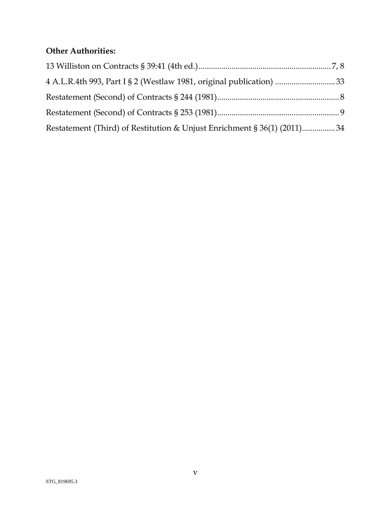# **Other Authorities:**

| 4 A.L.R.4th 993, Part I § 2 (Westlaw 1981, original publication) 33     |  |
|-------------------------------------------------------------------------|--|
|                                                                         |  |
|                                                                         |  |
| Restatement (Third) of Restitution & Unjust Enrichment § 36(1) (2011)34 |  |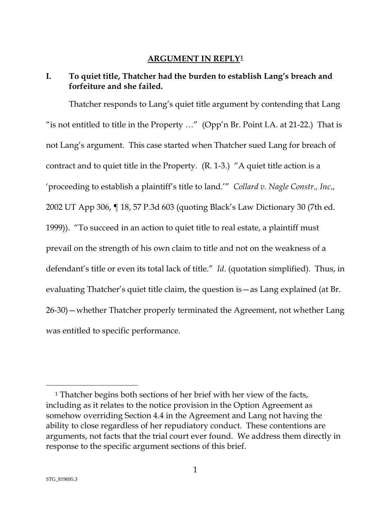#### **ARGUMENT IN REPLY[1](#page-7-2)**

### <span id="page-7-1"></span><span id="page-7-0"></span>**I. To quiet title, Thatcher had the burden to establish Lang's breach and forfeiture and she failed.**

Thatcher responds to Lang's quiet title argument by contending that Lang "is not entitled to title in the Property …" (Opp'n Br. Point I.A. at 21-22.) That is not Lang's argument. This case started when Thatcher sued Lang for breach of contract and to quiet title in the Property. (R. 1-3.) "A quiet title action is a 'proceeding to establish a plaintiff's title to land.'" *Collard v. Nagle Constr., Inc*., 2002 UT App 306, ¶ 18, 57 P.3d 603 (quoting Black's Law Dictionary 30 (7th ed. 1999)). "To succeed in an action to quiet title to real estate, a plaintiff must prevail on the strength of his own claim to title and not on the weakness of a defendant's title or even its total lack of title." *Id*. (quotation simplified). Thus, in evaluating Thatcher's quiet title claim, the question is—as Lang explained (at Br. 26-30)—whether Thatcher properly terminated the Agreement, not whether Lang was entitled to specific performance.

<span id="page-7-2"></span><sup>1</sup> Thatcher begins both sections of her brief with her view of the facts, including as it relates to the notice provision in the Option Agreement as somehow overriding Section 4.4 in the Agreement and Lang not having the ability to close regardless of her repudiatory conduct. These contentions are arguments, not facts that the trial court ever found. We address them directly in response to the specific argument sections of this brief.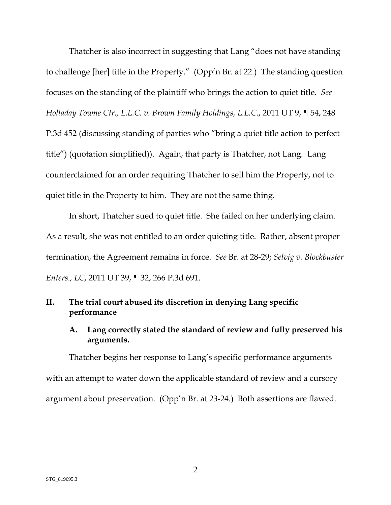Thatcher is also incorrect in suggesting that Lang "does not have standing to challenge [her] title in the Property." (Opp'n Br. at 22.) The standing question focuses on the standing of the plaintiff who brings the action to quiet title. *See Holladay Towne Ctr., L.L.C. v. Brown Family Holdings, L.L.C*., 2011 UT 9, ¶ 54, 248 P.3d 452 (discussing standing of parties who "bring a quiet title action to perfect title") (quotation simplified)). Again, that party is Thatcher, not Lang. Lang counterclaimed for an order requiring Thatcher to sell him the Property, not to quiet title in the Property to him. They are not the same thing.

In short, Thatcher sued to quiet title. She failed on her underlying claim. As a result, she was not entitled to an order quieting title. Rather, absent proper termination, the Agreement remains in force. *See* Br. at 28-29; *Selvig v. Blockbuster Enters., LC*, 2011 UT 39, ¶ 32, 266 P.3d 691.

#### <span id="page-8-0"></span>**II. The trial court abused its discretion in denying Lang specific performance**

### <span id="page-8-1"></span>**A. Lang correctly stated the standard of review and fully preserved his arguments.**

Thatcher begins her response to Lang's specific performance arguments with an attempt to water down the applicable standard of review and a cursory argument about preservation. (Opp'n Br. at 23-24.) Both assertions are flawed.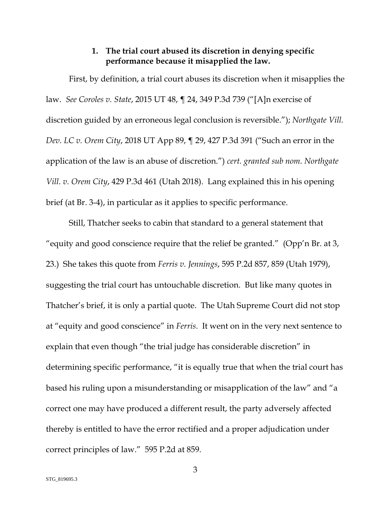#### **1. The trial court abused its discretion in denying specific performance because it misapplied the law.**

<span id="page-9-0"></span>First, by definition, a trial court abuses its discretion when it misapplies the law. *See Coroles v. State*, 2015 UT 48, ¶ 24, 349 P.3d 739 ("[A]n exercise of discretion guided by an erroneous legal conclusion is reversible."); *Northgate Vill. Dev. LC v. Orem City*, 2018 UT App 89, ¶ 29, 427 P.3d 391 ("Such an error in the application of the law is an abuse of discretion.") *cert. granted sub nom*. *Northgate Vill. v. Orem City*, 429 P.3d 461 (Utah 2018). Lang explained this in his opening brief (at Br. 3-4), in particular as it applies to specific performance.

Still, Thatcher seeks to cabin that standard to a general statement that "equity and good conscience require that the relief be granted." (Opp'n Br. at 3, 23.) She takes this quote from *Ferris v. Jennings*, 595 P.2d 857, 859 (Utah 1979), suggesting the trial court has untouchable discretion. But like many quotes in Thatcher's brief, it is only a partial quote. The Utah Supreme Court did not stop at "equity and good conscience" in *Ferris*. It went on in the very next sentence to explain that even though "the trial judge has considerable discretion" in determining specific performance, "it is equally true that when the trial court has based his ruling upon a misunderstanding or misapplication of the law" and "a correct one may have produced a different result, the party adversely affected thereby is entitled to have the error rectified and a proper adjudication under correct principles of law." 595 P.2d at 859.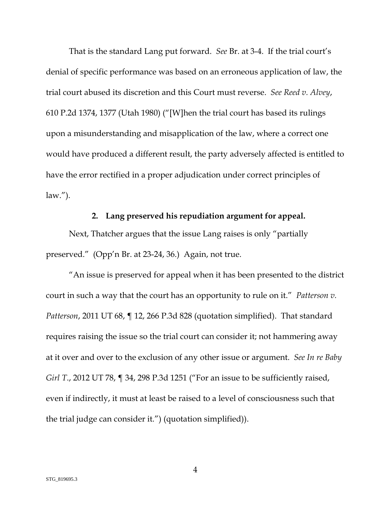That is the standard Lang put forward. *See* Br. at 3-4. If the trial court's denial of specific performance was based on an erroneous application of law, the trial court abused its discretion and this Court must reverse. *See Reed v. Alvey*, 610 P.2d 1374, 1377 (Utah 1980) ("[W]hen the trial court has based its rulings upon a misunderstanding and misapplication of the law, where a correct one would have produced a different result, the party adversely affected is entitled to have the error rectified in a proper adjudication under correct principles of  $law.'$ ).

#### **2. Lang preserved his repudiation argument for appeal.**

<span id="page-10-0"></span>Next, Thatcher argues that the issue Lang raises is only "partially preserved." (Opp'n Br. at 23-24, 36.) Again, not true.

"An issue is preserved for appeal when it has been presented to the district court in such a way that the court has an opportunity to rule on it." *Patterson v. Patterson*, 2011 UT 68, ¶ 12, 266 P.3d 828 (quotation simplified). That standard requires raising the issue so the trial court can consider it; not hammering away at it over and over to the exclusion of any other issue or argument. *See In re Baby Girl T., 2012 UT 78, ¶ 34, 298 P.3d 1251 ("For an issue to be sufficiently raised,* even if indirectly, it must at least be raised to a level of consciousness such that the trial judge can consider it.") (quotation simplified)).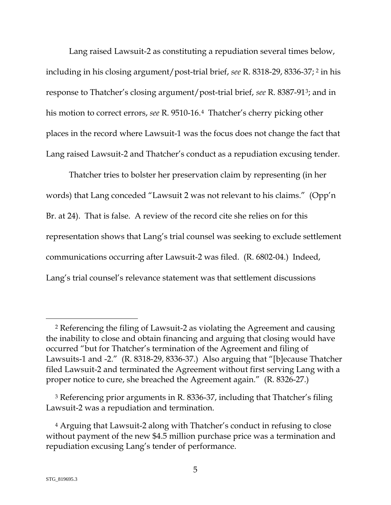Lang raised Lawsuit-2 as constituting a repudiation several times below, including in his closing argument/post-trial brief, *see* R. 8318-29, 8336-37; [2](#page-11-0) in his response to Thatcher's closing argument/post-trial brief, *see* R. 8387-91[3](#page-12-1); and in his motion to correct errors, *see* R. 9510-16.[4](#page-12-2) Thatcher's cherry picking other places in the record where Lawsuit-1 was the focus does not change the fact that Lang raised Lawsuit-2 and Thatcher's conduct as a repudiation excusing tender.

Thatcher tries to bolster her preservation claim by representing (in her words) that Lang conceded "Lawsuit 2 was not relevant to his claims." (Opp'n Br. at 24). That is false. A review of the record cite she relies on for this representation shows that Lang's trial counsel was seeking to exclude settlement communications occurring after Lawsuit-2 was filed. (R. 6802-04.) Indeed, Lang's trial counsel's relevance statement was that settlement discussions

<sup>2</sup> Referencing the filing of Lawsuit-2 as violating the Agreement and causing the inability to close and obtain financing and arguing that closing would have occurred "but for Thatcher's termination of the Agreement and filing of Lawsuits-1 and -2." (R. 8318-29, 8336-37.) Also arguing that "[b]ecause Thatcher filed Lawsuit-2 and terminated the Agreement without first serving Lang with a proper notice to cure, she breached the Agreement again." (R. 8326-27.)

<sup>3</sup> Referencing prior arguments in R. 8336-37, including that Thatcher's filing Lawsuit-2 was a repudiation and termination.

<span id="page-11-0"></span><sup>4</sup> Arguing that Lawsuit-2 along with Thatcher's conduct in refusing to close without payment of the new \$4.5 million purchase price was a termination and repudiation excusing Lang's tender of performance.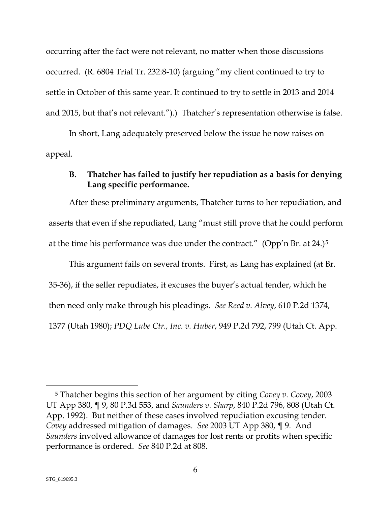occurring after the fact were not relevant, no matter when those discussions occurred. (R. 6804 Trial Tr. 232:8-10) (arguing "my client continued to try to settle in October of this same year. It continued to try to settle in 2013 and 2014 and 2015, but that's not relevant.").) Thatcher's representation otherwise is false.

In short, Lang adequately preserved below the issue he now raises on appeal.

#### <span id="page-12-0"></span>**B. Thatcher has failed to justify her repudiation as a basis for denying Lang specific performance.**

After these preliminary arguments, Thatcher turns to her repudiation, and asserts that even if she repudiated, Lang "must still prove that he could perform at the time his performance was due under the contract." (Opp'n Br. at 24.)[5](#page-13-0)

This argument fails on several fronts. First, as Lang has explained (at Br. 35-36), if the seller repudiates, it excuses the buyer's actual tender, which he then need only make through his pleadings. *See Reed v. Alvey*, 610 P.2d 1374, 1377 (Utah 1980); *PDQ Lube Ctr., Inc. v. Huber*, 949 P.2d 792, 799 (Utah Ct. App.

<span id="page-12-2"></span><span id="page-12-1"></span><sup>5</sup> Thatcher begins this section of her argument by citing *Covey v. Covey*, 2003 UT App 380, ¶ 9, 80 P.3d 553, and *Saunders v. Sharp*, 840 P.2d 796, 808 (Utah Ct. App. 1992). But neither of these cases involved repudiation excusing tender. *Covey* addressed mitigation of damages. *See* 2003 UT App 380, ¶ 9. And *Saunders* involved allowance of damages for lost rents or profits when specific performance is ordered. *See* 840 P.2d at 808.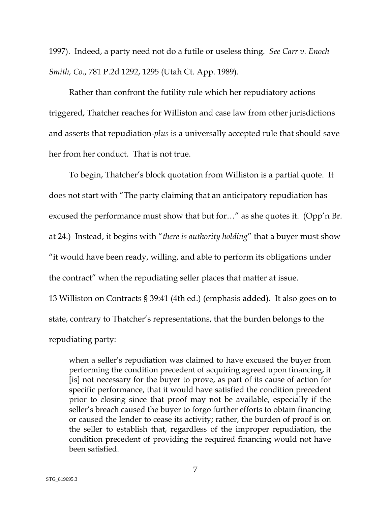1997). Indeed, a party need not do a futile or useless thing. *See Carr v. Enoch Smith, Co*., 781 P.2d 1292, 1295 (Utah Ct. App. 1989).

Rather than confront the futility rule which her repudiatory actions triggered, Thatcher reaches for Williston and case law from other jurisdictions and asserts that repudiation-*plus* is a universally accepted rule that should save her from her conduct. That is not true.

To begin, Thatcher's block quotation from Williston is a partial quote. It does not start with "The party claiming that an anticipatory repudiation has excused the performance must show that but for…" as she quotes it. (Opp'n Br. at 24.) Instead, it begins with "*there is authority holding*" that a buyer must show "it would have been ready, willing, and able to perform its obligations under the contract" when the repudiating seller places that matter at issue.

13 Williston on Contracts § 39:41 (4th ed.) (emphasis added). It also goes on to state, contrary to Thatcher's representations, that the burden belongs to the repudiating party:

<span id="page-13-0"></span>when a seller's repudiation was claimed to have excused the buyer from performing the condition precedent of acquiring agreed upon financing, it [is] not necessary for the buyer to prove, as part of its cause of action for specific performance, that it would have satisfied the condition precedent prior to closing since that proof may not be available, especially if the seller's breach caused the buyer to forgo further efforts to obtain financing or caused the lender to cease its activity; rather, the burden of proof is on the seller to establish that, regardless of the improper repudiation, the condition precedent of providing the required financing would not have been satisfied.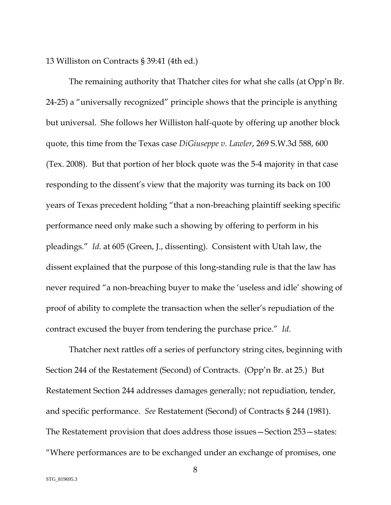13 Williston on Contracts § 39:41 (4th ed.)

The remaining authority that Thatcher cites for what she calls (at Opp'n Br. 24-25) a "universally recognized" principle shows that the principle is anything but universal. She follows her Williston half-quote by offering up another block quote, this time from the Texas case *DiGiuseppe v. Lawler*, 269 S.W.3d 588, 600 (Tex. 2008). But that portion of her block quote was the 5-4 majority in that case responding to the dissent's view that the majority was turning its back on 100 years of Texas precedent holding "that a non-breaching plaintiff seeking specific performance need only make such a showing by offering to perform in his pleadings." *Id*. at 605 (Green, J., dissenting). Consistent with Utah law, the dissent explained that the purpose of this long-standing rule is that the law has never required "a non-breaching buyer to make the 'useless and idle' showing of proof of ability to complete the transaction when the seller's repudiation of the contract excused the buyer from tendering the purchase price." *Id*.

Thatcher next rattles off a series of perfunctory string cites, beginning with Section 244 of the Restatement (Second) of Contracts. (Opp'n Br. at 25.) But Restatement Section 244 addresses damages generally; not repudiation, tender, and specific performance. *See* Restatement (Second) of Contracts § 244 (1981). The Restatement provision that does address those issues—Section 253—states: "Where performances are to be exchanged under an exchange of promises, one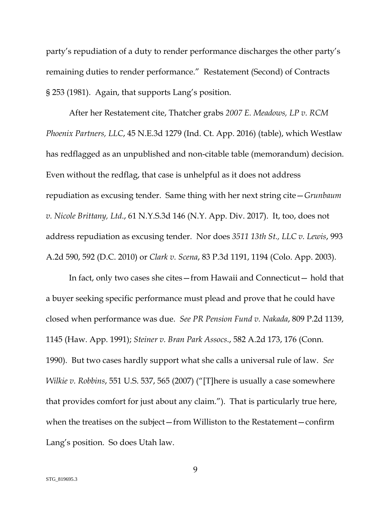party's repudiation of a duty to render performance discharges the other party's remaining duties to render performance." Restatement (Second) of Contracts § 253 (1981). Again, that supports Lang's position.

After her Restatement cite, Thatcher grabs *2007 E. Meadows, LP v. RCM Phoenix Partners, LLC*, 45 N.E.3d 1279 (Ind. Ct. App. 2016) (table), which Westlaw has redflagged as an unpublished and non-citable table (memorandum) decision. Even without the redflag, that case is unhelpful as it does not address repudiation as excusing tender. Same thing with her next string cite—*Grunbaum v. Nicole Brittany, Ltd*., 61 N.Y.S.3d 146 (N.Y. App. Div. 2017). It, too, does not address repudiation as excusing tender. Nor does *3511 13th St., LLC v. Lewis*, 993 A.2d 590, 592 (D.C. 2010) or *Clark v. Scena*, 83 P.3d 1191, 1194 (Colo. App. 2003).

In fact, only two cases she cites—from Hawaii and Connecticut— hold that a buyer seeking specific performance must plead and prove that he could have closed when performance was due. *See PR Pension Fund v. Nakada*, 809 P.2d 1139, 1145 (Haw. App. 1991); *Steiner v. Bran Park Assocs*., 582 A.2d 173, 176 (Conn. 1990). But two cases hardly support what she calls a universal rule of law. *See Wilkie v. Robbins*, 551 U.S. 537, 565 (2007) ("[T]here is usually a case somewhere that provides comfort for just about any claim."). That is particularly true here, when the treatises on the subject—from Williston to the Restatement—confirm Lang's position. So does Utah law.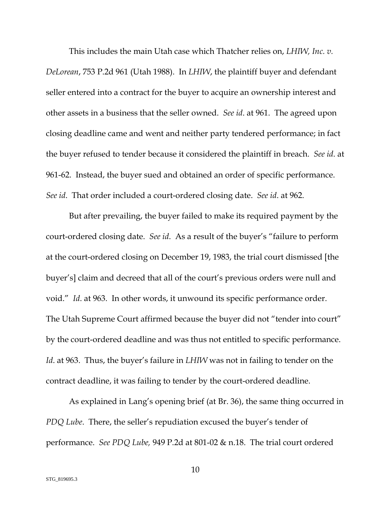This includes the main Utah case which Thatcher relies on, *LHIW, Inc. v. DeLorean*, 753 P.2d 961 (Utah 1988). In *LHIW*, the plaintiff buyer and defendant seller entered into a contract for the buyer to acquire an ownership interest and other assets in a business that the seller owned. *See id*. at 961. The agreed upon closing deadline came and went and neither party tendered performance; in fact the buyer refused to tender because it considered the plaintiff in breach. *See id*. at 961-62. Instead, the buyer sued and obtained an order of specific performance. *See id*. That order included a court-ordered closing date. *See id*. at 962.

But after prevailing, the buyer failed to make its required payment by the court-ordered closing date. *See id*. As a result of the buyer's "failure to perform at the court-ordered closing on December 19, 1983, the trial court dismissed [the buyer's] claim and decreed that all of the court's previous orders were null and void." *Id*. at 963. In other words, it unwound its specific performance order. The Utah Supreme Court affirmed because the buyer did not "tender into court" by the court-ordered deadline and was thus not entitled to specific performance. *Id*. at 963. Thus, the buyer's failure in *LHIW* was not in failing to tender on the contract deadline, it was failing to tender by the court-ordered deadline.

As explained in Lang's opening brief (at Br. 36), the same thing occurred in *PDQ Lube*. There, the seller's repudiation excused the buyer's tender of performance. *See PDQ Lube,* 949 P.2d at 801-02 & n.18. The trial court ordered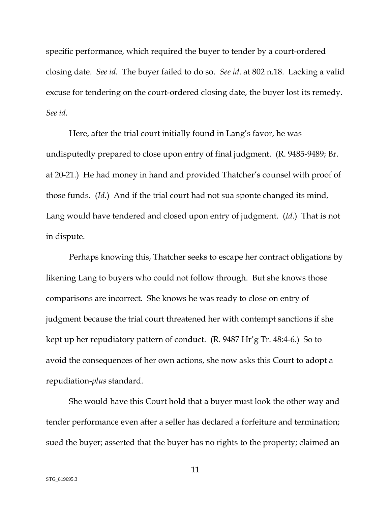specific performance, which required the buyer to tender by a court-ordered closing date. *See id*. The buyer failed to do so. *See id*. at 802 n.18. Lacking a valid excuse for tendering on the court-ordered closing date, the buyer lost its remedy. *See id*.

Here, after the trial court initially found in Lang's favor, he was undisputedly prepared to close upon entry of final judgment. (R. 9485-9489; Br. at 20-21.) He had money in hand and provided Thatcher's counsel with proof of those funds. (*Id*.) And if the trial court had not sua sponte changed its mind, Lang would have tendered and closed upon entry of judgment. (*Id*.) That is not in dispute.

Perhaps knowing this, Thatcher seeks to escape her contract obligations by likening Lang to buyers who could not follow through. But she knows those comparisons are incorrect. She knows he was ready to close on entry of judgment because the trial court threatened her with contempt sanctions if she kept up her repudiatory pattern of conduct. (R. 9487 Hr'g Tr. 48:4-6.) So to avoid the consequences of her own actions, she now asks this Court to adopt a repudiation-*plus* standard.

She would have this Court hold that a buyer must look the other way and tender performance even after a seller has declared a forfeiture and termination; sued the buyer; asserted that the buyer has no rights to the property; claimed an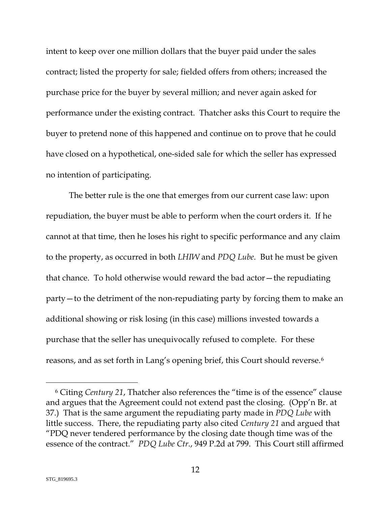intent to keep over one million dollars that the buyer paid under the sales contract; listed the property for sale; fielded offers from others; increased the purchase price for the buyer by several million; and never again asked for performance under the existing contract. Thatcher asks this Court to require the buyer to pretend none of this happened and continue on to prove that he could have closed on a hypothetical, one-sided sale for which the seller has expressed no intention of participating.

The better rule is the one that emerges from our current case law: upon repudiation, the buyer must be able to perform when the court orders it. If he cannot at that time, then he loses his right to specific performance and any claim to the property, as occurred in both *LHIW* and *PDQ Lube*. But he must be given that chance. To hold otherwise would reward the bad actor—the repudiating party—to the detriment of the non-repudiating party by forcing them to make an additional showing or risk losing (in this case) millions invested towards a purchase that the seller has unequivocally refused to complete. For these reasons, and as set forth in Lang's opening brief, this Court should reverse.<sup>[6](#page-21-0)</sup>

<sup>6</sup> Citing *Century 21*, Thatcher also references the "time is of the essence" clause and argues that the Agreement could not extend past the closing. (Opp'n Br. at 37.) That is the same argument the repudiating party made in *PDQ Lube* with little success. There, the repudiating party also cited *Century 21* and argued that "PDQ never tendered performance by the closing date though time was of the essence of the contract." *PDQ Lube Ctr*., 949 P.2d at 799. This Court still affirmed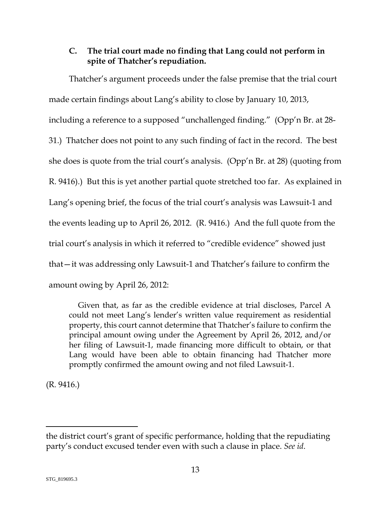### <span id="page-19-0"></span>**C. The trial court made no finding that Lang could not perform in spite of Thatcher's repudiation.**

Thatcher's argument proceeds under the false premise that the trial court made certain findings about Lang's ability to close by January 10, 2013, including a reference to a supposed "unchallenged finding." (Opp'n Br. at 28- 31.) Thatcher does not point to any such finding of fact in the record. The best she does is quote from the trial court's analysis. (Opp'n Br. at 28) (quoting from R. 9416).) But this is yet another partial quote stretched too far. As explained in Lang's opening brief, the focus of the trial court's analysis was Lawsuit-1 and the events leading up to April 26, 2012. (R. 9416.) And the full quote from the trial court's analysis in which it referred to "credible evidence" showed just that—it was addressing only Lawsuit-1 and Thatcher's failure to confirm the amount owing by April 26, 2012:

Given that, as far as the credible evidence at trial discloses, Parcel A could not meet Lang's lender's written value requirement as residential property, this court cannot determine that Thatcher's failure to confirm the principal amount owing under the Agreement by April 26, 2012, and/or her filing of Lawsuit-1, made financing more difficult to obtain, or that Lang would have been able to obtain financing had Thatcher more promptly confirmed the amount owing and not filed Lawsuit-1.

(R. 9416.)

the district court's grant of specific performance, holding that the repudiating party's conduct excused tender even with such a clause in place. *See id*.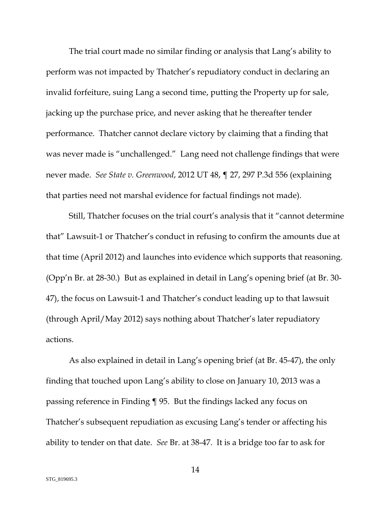The trial court made no similar finding or analysis that Lang's ability to perform was not impacted by Thatcher's repudiatory conduct in declaring an invalid forfeiture, suing Lang a second time, putting the Property up for sale, jacking up the purchase price, and never asking that he thereafter tender performance. Thatcher cannot declare victory by claiming that a finding that was never made is "unchallenged." Lang need not challenge findings that were never made. *See State v. Greenwood*, 2012 UT 48, ¶ 27, 297 P.3d 556 (explaining that parties need not marshal evidence for factual findings not made).

Still, Thatcher focuses on the trial court's analysis that it "cannot determine that" Lawsuit-1 or Thatcher's conduct in refusing to confirm the amounts due at that time (April 2012) and launches into evidence which supports that reasoning. (Opp'n Br. at 28-30.) But as explained in detail in Lang's opening brief (at Br. 30- 47), the focus on Lawsuit-1 and Thatcher's conduct leading up to that lawsuit (through April/May 2012) says nothing about Thatcher's later repudiatory actions.

As also explained in detail in Lang's opening brief (at Br. 45-47), the only finding that touched upon Lang's ability to close on January 10, 2013 was a passing reference in Finding ¶ 95. But the findings lacked any focus on Thatcher's subsequent repudiation as excusing Lang's tender or affecting his ability to tender on that date. *See* Br. at 38-47. It is a bridge too far to ask for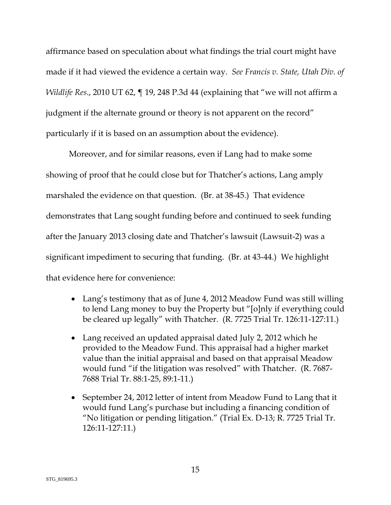affirmance based on speculation about what findings the trial court might have made if it had viewed the evidence a certain way. *See Francis v. State, Utah Div. of Wildlife Res*., 2010 UT 62, ¶ 19, 248 P.3d 44 (explaining that "we will not affirm a judgment if the alternate ground or theory is not apparent on the record" particularly if it is based on an assumption about the evidence).

Moreover, and for similar reasons, even if Lang had to make some showing of proof that he could close but for Thatcher's actions, Lang amply marshaled the evidence on that question. (Br. at 38-45.) That evidence demonstrates that Lang sought funding before and continued to seek funding after the January 2013 closing date and Thatcher's lawsuit (Lawsuit-2) was a significant impediment to securing that funding. (Br. at 43-44.) We highlight that evidence here for convenience:

- Lang's testimony that as of June 4, 2012 Meadow Fund was still willing to lend Lang money to buy the Property but "[o]nly if everything could be cleared up legally" with Thatcher. (R. 7725 Trial Tr. 126:11-127:11.)
- <span id="page-21-0"></span>• Lang received an updated appraisal dated July 2, 2012 which he provided to the Meadow Fund. This appraisal had a higher market value than the initial appraisal and based on that appraisal Meadow would fund "if the litigation was resolved" with Thatcher. (R. 7687- 7688 Trial Tr. 88:1-25, 89:1-11.)
- September 24, 2012 letter of intent from Meadow Fund to Lang that it would fund Lang's purchase but including a financing condition of "No litigation or pending litigation." (Trial Ex. D-13; R. 7725 Trial Tr. 126:11-127:11.)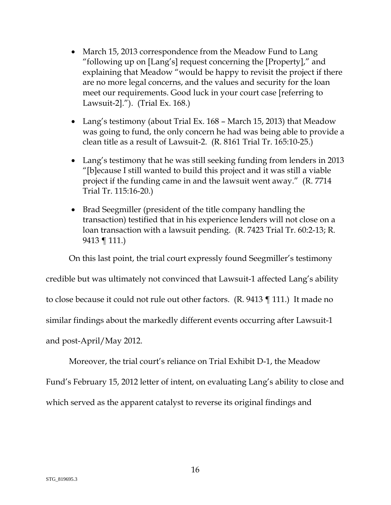- March 15, 2013 correspondence from the Meadow Fund to Lang "following up on [Lang's] request concerning the [Property]," and explaining that Meadow "would be happy to revisit the project if there are no more legal concerns, and the values and security for the loan meet our requirements. Good luck in your court case [referring to Lawsuit-2]."). (Trial Ex. 168.)
- Lang's testimony (about Trial Ex. 168 March 15, 2013) that Meadow was going to fund, the only concern he had was being able to provide a clean title as a result of Lawsuit-2. (R. 8161 Trial Tr. 165:10-25.)
- Lang's testimony that he was still seeking funding from lenders in 2013 "[b]ecause I still wanted to build this project and it was still a viable project if the funding came in and the lawsuit went away." (R. 7714 Trial Tr. 115:16-20.)
- Brad Seegmiller (president of the title company handling the transaction) testified that in his experience lenders will not close on a loan transaction with a lawsuit pending. (R. 7423 Trial Tr. 60:2-13; R. 9413 ¶ 111.)

On this last point, the trial court expressly found Seegmiller's testimony

credible but was ultimately not convinced that Lawsuit-1 affected Lang's ability

to close because it could not rule out other factors. (R. 9413 ¶ 111.) It made no

similar findings about the markedly different events occurring after Lawsuit-1

and post-April/May 2012.

Moreover, the trial court's reliance on Trial Exhibit D-1, the Meadow

Fund's February 15, 2012 letter of intent, on evaluating Lang's ability to close and

which served as the apparent catalyst to reverse its original findings and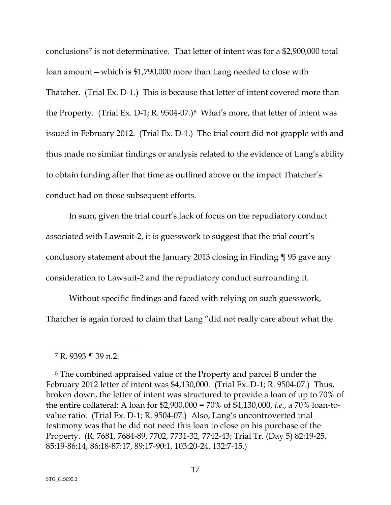conclusions[7](#page-25-1) is not determinative. That letter of intent was for a \$2,900,000 total loan amount—which is \$1,790,000 more than Lang needed to close with Thatcher. (Trial Ex. D-1.) This is because that letter of intent covered more than the Property. (Trial Ex. D-1; R. 9504-07.)[8](#page-25-2) What's more, that letter of intent was issued in February 2012. (Trial Ex. D-1.) The trial court did not grapple with and thus made no similar findings or analysis related to the evidence of Lang's ability to obtain funding after that time as outlined above or the impact Thatcher's conduct had on those subsequent efforts.

In sum, given the trial court's lack of focus on the repudiatory conduct associated with Lawsuit-2, it is guesswork to suggest that the trial court's conclusory statement about the January 2013 closing in Finding ¶ 95 gave any consideration to Lawsuit-2 and the repudiatory conduct surrounding it.

Without specific findings and faced with relying on such guesswork, Thatcher is again forced to claim that Lang "did not really care about what the

<sup>7</sup> R. 9393 ¶ 39 n.2.

<sup>8</sup> The combined appraised value of the Property and parcel B under the February 2012 letter of intent was \$4,130,000. (Trial Ex. D-1; R. 9504-07.) Thus, broken down, the letter of intent was structured to provide a loan of up to 70% of the entire collateral: A loan for \$2,900,000 = 70% of \$4,130,000, *i.e*., a 70% loan-tovalue ratio. (Trial Ex. D-1; R. 9504-07.) Also, Lang's uncontroverted trial testimony was that he did not need this loan to close on his purchase of the Property. (R. 7681, 7684-89, 7702, 7731-32, 7742-43; Trial Tr. (Day 5) 82:19-25, 85:19-86:14, 86:18-87:17, 89:17-90:1, 103:20-24, 132:7-15.)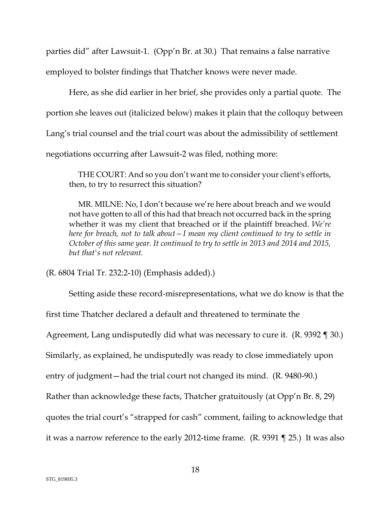parties did" after Lawsuit-1. (Opp'n Br. at 30.) That remains a false narrative employed to bolster findings that Thatcher knows were never made.

Here, as she did earlier in her brief, she provides only a partial quote. The portion she leaves out (italicized below) makes it plain that the colloquy between Lang's trial counsel and the trial court was about the admissibility of settlement negotiations occurring after Lawsuit-2 was filed, nothing more:

THE COURT: And so you don't want me to consider your client's efforts, then, to try to resurrect this situation?

MR. MILNE: No, I don't because we're here about breach and we would not have gotten to all of this had that breach not occurred back in the spring whether it was my client that breached or if the plaintiff breached. *We're here for breach, not to talk about—I mean my client continued to try to settle in October of this same year. It continued to try to settle in 2013 and 2014 and 2015, but that's not relevant.*

(R. 6804 Trial Tr. 232:2-10) (Emphasis added).)

Setting aside these record-misrepresentations, what we do know is that the first time Thatcher declared a default and threatened to terminate the Agreement, Lang undisputedly did what was necessary to cure it. (R. 9392 ¶ 30.) Similarly, as explained, he undisputedly was ready to close immediately upon entry of judgment—had the trial court not changed its mind. (R. 9480-90.) Rather than acknowledge these facts, Thatcher gratuitously (at Opp'n Br. 8, 29) quotes the trial court's "strapped for cash" comment, failing to acknowledge that it was a narrow reference to the early 2012-time frame. (R. 9391 ¶ 25.) It was also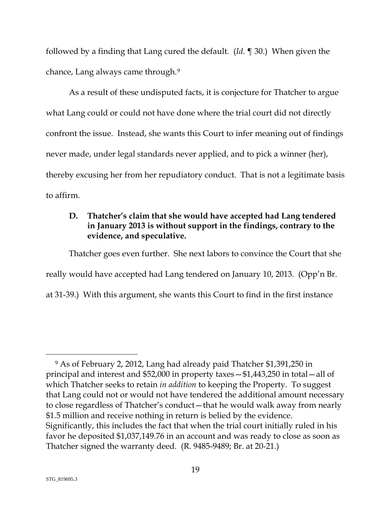followed by a finding that Lang cured the default. (*Id*. ¶ 30.) When given the chance, Lang always came through.[9](#page-27-0)

As a result of these undisputed facts, it is conjecture for Thatcher to argue what Lang could or could not have done where the trial court did not directly confront the issue. Instead, she wants this Court to infer meaning out of findings never made, under legal standards never applied, and to pick a winner (her), thereby excusing her from her repudiatory conduct. That is not a legitimate basis to affirm.

### <span id="page-25-0"></span>**D. Thatcher's claim that she would have accepted had Lang tendered in January 2013 is without support in the findings, contrary to the evidence, and speculative.**

Thatcher goes even further. She next labors to convince the Court that she really would have accepted had Lang tendered on January 10, 2013. (Opp'n Br. at 31-39.) With this argument, she wants this Court to find in the first instance

<span id="page-25-2"></span><span id="page-25-1"></span><sup>9</sup> As of February 2, 2012, Lang had already paid Thatcher \$1,391,250 in principal and interest and \$52,000 in property taxes—\$1,443,250 in total—all of which Thatcher seeks to retain *in addition* to keeping the Property. To suggest that Lang could not or would not have tendered the additional amount necessary to close regardless of Thatcher's conduct—that he would walk away from nearly \$1.5 million and receive nothing in return is belied by the evidence. Significantly, this includes the fact that when the trial court initially ruled in his favor he deposited \$1,037,149.76 in an account and was ready to close as soon as Thatcher signed the warranty deed. (R. 9485-9489; Br. at 20-21.)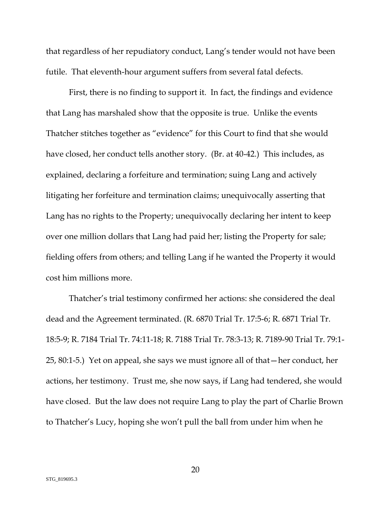that regardless of her repudiatory conduct, Lang's tender would not have been futile. That eleventh-hour argument suffers from several fatal defects.

First, there is no finding to support it. In fact, the findings and evidence that Lang has marshaled show that the opposite is true. Unlike the events Thatcher stitches together as "evidence" for this Court to find that she would have closed, her conduct tells another story. (Br. at 40-42.) This includes, as explained, declaring a forfeiture and termination; suing Lang and actively litigating her forfeiture and termination claims; unequivocally asserting that Lang has no rights to the Property; unequivocally declaring her intent to keep over one million dollars that Lang had paid her; listing the Property for sale; fielding offers from others; and telling Lang if he wanted the Property it would cost him millions more.

Thatcher's trial testimony confirmed her actions: she considered the deal dead and the Agreement terminated. (R. 6870 Trial Tr. 17:5-6; R. 6871 Trial Tr. 18:5-9; R. 7184 Trial Tr. 74:11-18; R. 7188 Trial Tr. 78:3-13; R. 7189-90 Trial Tr. 79:1- 25, 80:1-5.) Yet on appeal, she says we must ignore all of that—her conduct, her actions, her testimony. Trust me, she now says, if Lang had tendered, she would have closed. But the law does not require Lang to play the part of Charlie Brown to Thatcher's Lucy, hoping she won't pull the ball from under him when he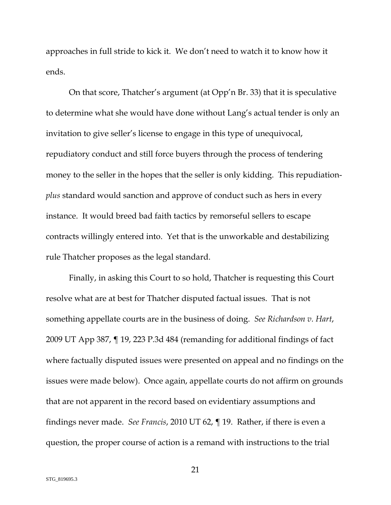approaches in full stride to kick it. We don't need to watch it to know how it ends.

On that score, Thatcher's argument (at Opp'n Br. 33) that it is speculative to determine what she would have done without Lang's actual tender is only an invitation to give seller's license to engage in this type of unequivocal, repudiatory conduct and still force buyers through the process of tendering money to the seller in the hopes that the seller is only kidding. This repudiation*plus* standard would sanction and approve of conduct such as hers in every instance. It would breed bad faith tactics by remorseful sellers to escape contracts willingly entered into. Yet that is the unworkable and destabilizing rule Thatcher proposes as the legal standard.

<span id="page-27-0"></span>Finally, in asking this Court to so hold, Thatcher is requesting this Court resolve what are at best for Thatcher disputed factual issues. That is not something appellate courts are in the business of doing. *See Richardson v. Hart*, 2009 UT App 387, ¶ 19, 223 P.3d 484 (remanding for additional findings of fact where factually disputed issues were presented on appeal and no findings on the issues were made below). Once again, appellate courts do not affirm on grounds that are not apparent in the record based on evidentiary assumptions and findings never made. *See Francis*, 2010 UT 62, ¶ 19. Rather, if there is even a question, the proper course of action is a remand with instructions to the trial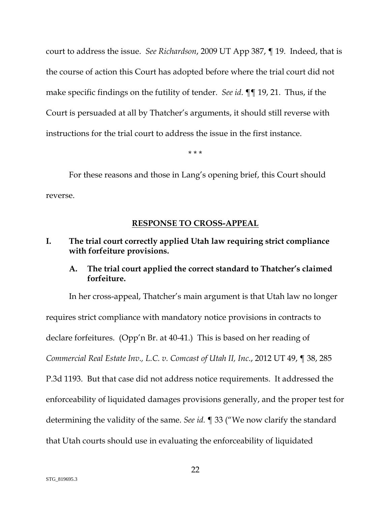court to address the issue. *See Richardson*, 2009 UT App 387, ¶ 19. Indeed, that is the course of action this Court has adopted before where the trial court did not make specific findings on the futility of tender. *See id*. ¶¶ 19, 21. Thus, if the Court is persuaded at all by Thatcher's arguments, it should still reverse with instructions for the trial court to address the issue in the first instance.

\* \* \*

For these reasons and those in Lang's opening brief, this Court should reverse.

#### **RESPONSE TO CROSS-APPEAL**

#### <span id="page-28-1"></span><span id="page-28-0"></span>**I. The trial court correctly applied Utah law requiring strict compliance with forfeiture provisions.**

#### <span id="page-28-2"></span>**A. The trial court applied the correct standard to Thatcher's claimed forfeiture.**

In her cross-appeal, Thatcher's main argument is that Utah law no longer requires strict compliance with mandatory notice provisions in contracts to declare forfeitures. (Opp'n Br. at 40-41.) This is based on her reading of *Commercial Real Estate Inv., L.C. v. Comcast of Utah II, Inc*., 2012 UT 49, ¶ 38, 285 P.3d 1193. But that case did not address notice requirements. It addressed the enforceability of liquidated damages provisions generally, and the proper test for determining the validity of the same. *See id.* ¶ 33 ("We now clarify the standard that Utah courts should use in evaluating the enforceability of liquidated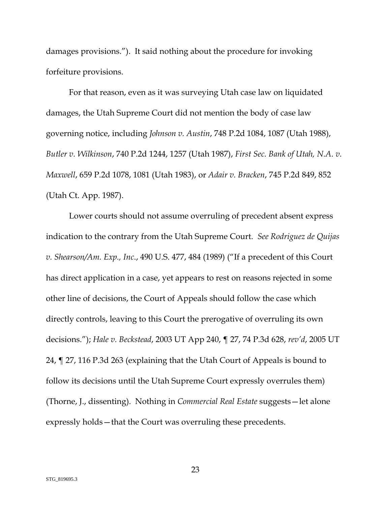damages provisions."). It said nothing about the procedure for invoking forfeiture provisions.

For that reason, even as it was surveying Utah case law on liquidated damages, the Utah Supreme Court did not mention the body of case law governing notice, including *Johnson v. Austin*, 748 P.2d 1084, 1087 (Utah 1988), *Butler v. Wilkinson*, 740 P.2d 1244, 1257 (Utah 1987), *First Sec. Bank of Utah, N.A. v. Maxwell*, 659 P.2d 1078, 1081 (Utah 1983), or *Adair v. Bracken*, 745 P.2d 849, 852 (Utah Ct. App. 1987).

Lower courts should not assume overruling of precedent absent express indication to the contrary from the Utah Supreme Court. *See Rodriguez de Quijas v. Shearson/Am. Exp., Inc*., 490 U.S. 477, 484 (1989) ("If a precedent of this Court has direct application in a case, yet appears to rest on reasons rejected in some other line of decisions, the Court of Appeals should follow the case which directly controls, leaving to this Court the prerogative of overruling its own decisions."); *Hale v. Beckstead*, 2003 UT App 240, ¶ 27, 74 P.3d 628, *rev'd*, 2005 UT 24, ¶ 27, 116 P.3d 263 (explaining that the Utah Court of Appeals is bound to follow its decisions until the Utah Supreme Court expressly overrules them) (Thorne, J., dissenting). Nothing in *Commercial Real Estate* suggests—let alone expressly holds—that the Court was overruling these precedents.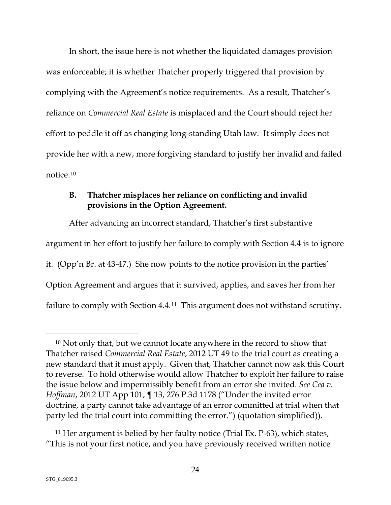In short, the issue here is not whether the liquidated damages provision was enforceable; it is whether Thatcher properly triggered that provision by complying with the Agreement's notice requirements. As a result, Thatcher's reliance on *Commercial Real Estate* is misplaced and the Court should reject her effort to peddle it off as changing long-standing Utah law. It simply does not provide her with a new, more forgiving standard to justify her invalid and failed notice.[10](#page-33-1)

### <span id="page-30-0"></span>**B. Thatcher misplaces her reliance on conflicting and invalid provisions in the Option Agreement.**

After advancing an incorrect standard, Thatcher's first substantive argument in her effort to justify her failure to comply with Section 4.4 is to ignore it. (Opp'n Br. at 43-47.) She now points to the notice provision in the parties' Option Agreement and argues that it survived, applies, and saves her from her failure to comply with Section 4.4.[11](#page-34-0) This argument does not withstand scrutiny.

<sup>&</sup>lt;sup>10</sup> Not only that, but we cannot locate anywhere in the record to show that Thatcher raised *Commercial Real Estate*, 2012 UT 49 to the trial court as creating a new standard that it must apply. Given that, Thatcher cannot now ask this Court to reverse. To hold otherwise would allow Thatcher to exploit her failure to raise the issue below and impermissibly benefit from an error she invited. *See Cea v. Hoffman*, 2012 UT App 101, ¶ 13, 276 P.3d 1178 ("Under the invited error doctrine, a party cannot take advantage of an error committed at trial when that party led the trial court into committing the error.") (quotation simplified)).

<sup>11</sup> Her argument is belied by her faulty notice (Trial Ex. P-63), which states, "This is not your first notice, and you have previously received written notice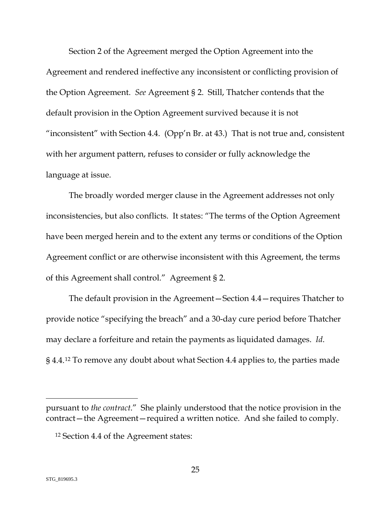Section 2 of the Agreement merged the Option Agreement into the Agreement and rendered ineffective any inconsistent or conflicting provision of the Option Agreement. *See* Agreement § 2. Still, Thatcher contends that the default provision in the Option Agreement survived because it is not "inconsistent" with Section 4.4. (Opp'n Br. at 43.) That is not true and, consistent with her argument pattern, refuses to consider or fully acknowledge the language at issue.

The broadly worded merger clause in the Agreement addresses not only inconsistencies, but also conflicts. It states: "The terms of the Option Agreement have been merged herein and to the extent any terms or conditions of the Option Agreement conflict or are otherwise inconsistent with this Agreement, the terms of this Agreement shall control." Agreement § 2.

The default provision in the Agreement—Section 4.4—requires Thatcher to provide notice "specifying the breach" and a 30-day cure period before Thatcher may declare a forfeiture and retain the payments as liquidated damages. *Id*. § 4.4.[12](#page-35-0) To remove any doubt about what Section 4.4 applies to, the parties made

pursuant to *the contract*." She plainly understood that the notice provision in the contract—the Agreement—required a written notice. And she failed to comply.

<sup>12</sup> Section 4.4 of the Agreement states: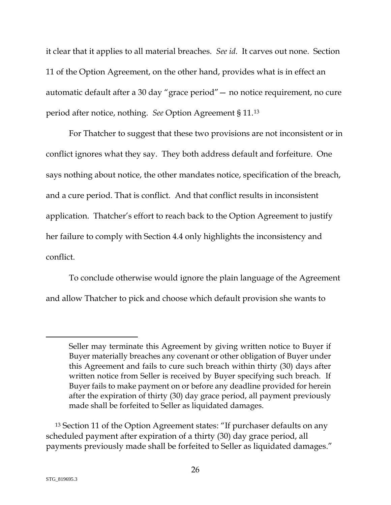it clear that it applies to all material breaches. *See id*. It carves out none. Section 11 of the Option Agreement, on the other hand, provides what is in effect an automatic default after a 30 day "grace period"— no notice requirement, no cure period after notice, nothing. *See* Option Agreement § 11.[13](#page-35-1)

For Thatcher to suggest that these two provisions are not inconsistent or in conflict ignores what they say. They both address default and forfeiture. One says nothing about notice, the other mandates notice, specification of the breach, and a cure period. That is conflict. And that conflict results in inconsistent application. Thatcher's effort to reach back to the Option Agreement to justify her failure to comply with Section 4.4 only highlights the inconsistency and conflict.

To conclude otherwise would ignore the plain language of the Agreement and allow Thatcher to pick and choose which default provision she wants to

Seller may terminate this Agreement by giving written notice to Buyer if Buyer materially breaches any covenant or other obligation of Buyer under this Agreement and fails to cure such breach within thirty (30) days after written notice from Seller is received by Buyer specifying such breach. If Buyer fails to make payment on or before any deadline provided for herein after the expiration of thirty (30) day grace period, all payment previously made shall be forfeited to Seller as liquidated damages.

<sup>13</sup> Section 11 of the Option Agreement states: "If purchaser defaults on any scheduled payment after expiration of a thirty (30) day grace period, all payments previously made shall be forfeited to Seller as liquidated damages."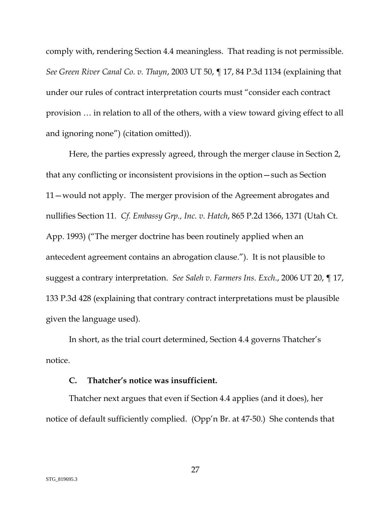comply with, rendering Section 4.4 meaningless. That reading is not permissible. *See Green River Canal Co. v. Thayn*, 2003 UT 50, ¶ 17, 84 P.3d 1134 (explaining that under our rules of contract interpretation courts must "consider each contract provision … in relation to all of the others, with a view toward giving effect to all and ignoring none") (citation omitted)).

Here, the parties expressly agreed, through the merger clause in Section 2, that any conflicting or inconsistent provisions in the option—such as Section 11—would not apply. The merger provision of the Agreement abrogates and nullifies Section 11. *Cf. Embassy Grp., Inc. v. Hatch*, 865 P.2d 1366, 1371 (Utah Ct. App. 1993) ("The merger doctrine has been routinely applied when an antecedent agreement contains an abrogation clause."). It is not plausible to suggest a contrary interpretation. *See Saleh v. Farmers Ins. Exch*., 2006 UT 20, ¶ 17, 133 P.3d 428 (explaining that contrary contract interpretations must be plausible given the language used).

<span id="page-33-1"></span>In short, as the trial court determined, Section 4.4 governs Thatcher's notice.

#### **C. Thatcher's notice was insufficient.**

<span id="page-33-0"></span>Thatcher next argues that even if Section 4.4 applies (and it does), her notice of default sufficiently complied. (Opp'n Br. at 47-50.) She contends that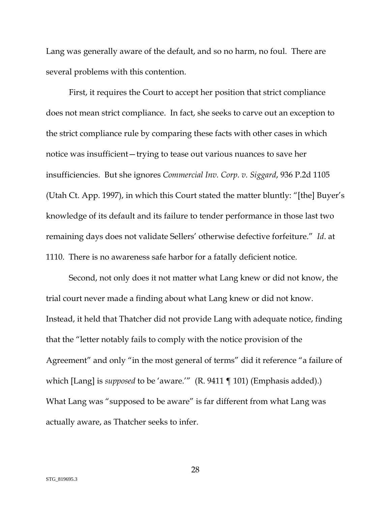Lang was generally aware of the default, and so no harm, no foul. There are several problems with this contention.

First, it requires the Court to accept her position that strict compliance does not mean strict compliance. In fact, she seeks to carve out an exception to the strict compliance rule by comparing these facts with other cases in which notice was insufficient—trying to tease out various nuances to save her insufficiencies. But she ignores *Commercial Inv. Corp. v. Siggard*, 936 P.2d 1105 (Utah Ct. App. 1997), in which this Court stated the matter bluntly: "[the] Buyer's knowledge of its default and its failure to tender performance in those last two remaining days does not validate Sellers' otherwise defective forfeiture." *Id*. at 1110. There is no awareness safe harbor for a fatally deficient notice.

<span id="page-34-0"></span>Second, not only does it not matter what Lang knew or did not know, the trial court never made a finding about what Lang knew or did not know. Instead, it held that Thatcher did not provide Lang with adequate notice, finding that the "letter notably fails to comply with the notice provision of the Agreement" and only "in the most general of terms" did it reference "a failure of which [Lang] is *supposed* to be 'aware.'" (R. 9411 ¶ 101) (Emphasis added).) What Lang was "supposed to be aware" is far different from what Lang was actually aware, as Thatcher seeks to infer.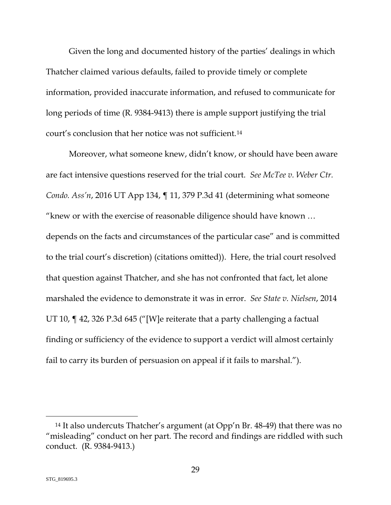Given the long and documented history of the parties' dealings in which Thatcher claimed various defaults, failed to provide timely or complete information, provided inaccurate information, and refused to communicate for long periods of time (R. 9384-9413) there is ample support justifying the trial court's conclusion that her notice was not sufficient.[14](#page-38-0)

Moreover, what someone knew, didn't know, or should have been aware are fact intensive questions reserved for the trial court. *See McTee v. Weber Ctr. Condo. Ass'n*, 2016 UT App 134, ¶ 11, 379 P.3d 41 (determining what someone "knew or with the exercise of reasonable diligence should have known … depends on the facts and circumstances of the particular case" and is committed to the trial court's discretion) (citations omitted)). Here, the trial court resolved that question against Thatcher, and she has not confronted that fact, let alone marshaled the evidence to demonstrate it was in error. *See State v. Nielsen*, 2014 UT 10, ¶ 42, 326 P.3d 645 ("[W]e reiterate that a party challenging a factual finding or sufficiency of the evidence to support a verdict will almost certainly fail to carry its burden of persuasion on appeal if it fails to marshal.").

<span id="page-35-1"></span><span id="page-35-0"></span><sup>14</sup> It also undercuts Thatcher's argument (at Opp'n Br. 48-49) that there was no "misleading" conduct on her part. The record and findings are riddled with such conduct. (R. 9384-9413.)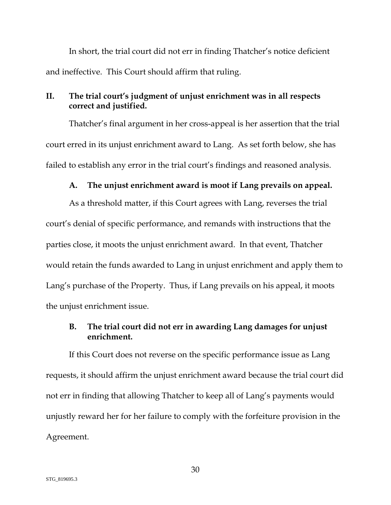In short, the trial court did not err in finding Thatcher's notice deficient and ineffective. This Court should affirm that ruling.

#### <span id="page-36-0"></span>**II. The trial court's judgment of unjust enrichment was in all respects correct and justified.**

Thatcher's final argument in her cross-appeal is her assertion that the trial court erred in its unjust enrichment award to Lang. As set forth below, she has failed to establish any error in the trial court's findings and reasoned analysis.

#### **A. The unjust enrichment award is moot if Lang prevails on appeal.**

<span id="page-36-1"></span>As a threshold matter, if this Court agrees with Lang, reverses the trial court's denial of specific performance, and remands with instructions that the parties close, it moots the unjust enrichment award. In that event, Thatcher would retain the funds awarded to Lang in unjust enrichment and apply them to Lang's purchase of the Property. Thus, if Lang prevails on his appeal, it moots the unjust enrichment issue.

#### <span id="page-36-2"></span>**B. The trial court did not err in awarding Lang damages for unjust enrichment.**

If this Court does not reverse on the specific performance issue as Lang requests, it should affirm the unjust enrichment award because the trial court did not err in finding that allowing Thatcher to keep all of Lang's payments would unjustly reward her for her failure to comply with the forfeiture provision in the Agreement.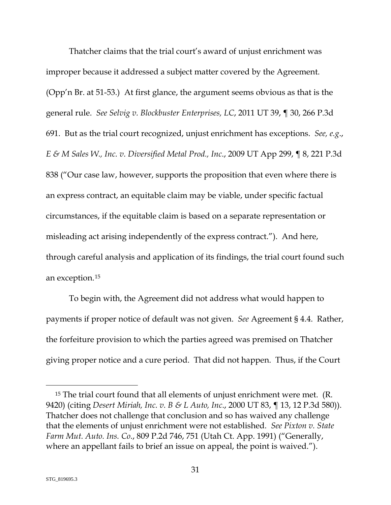Thatcher claims that the trial court's award of unjust enrichment was improper because it addressed a subject matter covered by the Agreement. (Opp'n Br. at 51-53.) At first glance, the argument seems obvious as that is the general rule. *See Selvig v. Blockbuster Enterprises, LC*, 2011 UT 39, ¶ 30, 266 P.3d 691. But as the trial court recognized, unjust enrichment has exceptions. *See, e.g*., *E & M Sales W., Inc. v. Diversified Metal Prod., Inc*., 2009 UT App 299, ¶ 8, 221 P.3d 838 ("Our case law, however, supports the proposition that even where there is an express contract, an equitable claim may be viable, under specific factual circumstances, if the equitable claim is based on a separate representation or misleading act arising independently of the express contract."). And here, through careful analysis and application of its findings, the trial court found such an exception.[15](#page-41-0)

To begin with, the Agreement did not address what would happen to payments if proper notice of default was not given. *See* Agreement § 4.4. Rather, the forfeiture provision to which the parties agreed was premised on Thatcher giving proper notice and a cure period. That did not happen. Thus, if the Court

<sup>15</sup> The trial court found that all elements of unjust enrichment were met. (R. 9420) (citing *Desert Miriah, Inc. v. B & L Auto, Inc*., 2000 UT 83, ¶ 13, 12 P.3d 580)). Thatcher does not challenge that conclusion and so has waived any challenge that the elements of unjust enrichment were not established. *See Pixton v. State Farm Mut. Auto. Ins. Co*., 809 P.2d 746, 751 (Utah Ct. App. 1991) ("Generally, where an appellant fails to brief an issue on appeal, the point is waived.").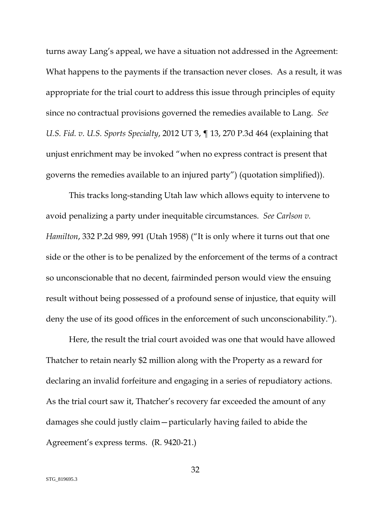turns away Lang's appeal, we have a situation not addressed in the Agreement: What happens to the payments if the transaction never closes. As a result, it was appropriate for the trial court to address this issue through principles of equity since no contractual provisions governed the remedies available to Lang. *See U.S. Fid. v. U.S. Sports Specialty*, 2012 UT 3, ¶ 13, 270 P.3d 464 (explaining that unjust enrichment may be invoked "when no express contract is present that governs the remedies available to an injured party") (quotation simplified)).

This tracks long-standing Utah law which allows equity to intervene to avoid penalizing a party under inequitable circumstances. *See Carlson v. Hamilton*, 332 P.2d 989, 991 (Utah 1958) ("It is only where it turns out that one side or the other is to be penalized by the enforcement of the terms of a contract so unconscionable that no decent, fairminded person would view the ensuing result without being possessed of a profound sense of injustice, that equity will deny the use of its good offices in the enforcement of such unconscionability.").

<span id="page-38-0"></span>Here, the result the trial court avoided was one that would have allowed Thatcher to retain nearly \$2 million along with the Property as a reward for declaring an invalid forfeiture and engaging in a series of repudiatory actions. As the trial court saw it, Thatcher's recovery far exceeded the amount of any damages she could justly claim—particularly having failed to abide the Agreement's express terms. (R. 9420-21.)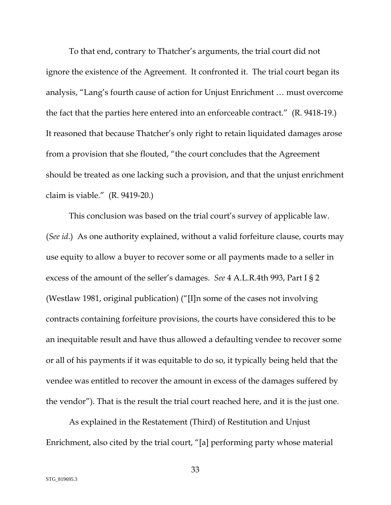To that end, contrary to Thatcher's arguments, the trial court did not ignore the existence of the Agreement. It confronted it. The trial court began its analysis, "Lang's fourth cause of action for Unjust Enrichment … must overcome the fact that the parties here entered into an enforceable contract." (R. 9418-19.) It reasoned that because Thatcher's only right to retain liquidated damages arose from a provision that she flouted, "the court concludes that the Agreement should be treated as one lacking such a provision, and that the unjust enrichment claim is viable." (R. 9419-20.)

This conclusion was based on the trial court's survey of applicable law. (*See id*.) As one authority explained, without a valid forfeiture clause, courts may use equity to allow a buyer to recover some or all payments made to a seller in excess of the amount of the seller's damages. *See* 4 A.L.R.4th 993, Part I § 2 (Westlaw 1981, original publication) ("[I]n some of the cases not involving contracts containing forfeiture provisions, the courts have considered this to be an inequitable result and have thus allowed a defaulting vendee to recover some or all of his payments if it was equitable to do so, it typically being held that the vendee was entitled to recover the amount in excess of the damages suffered by the vendor"). That is the result the trial court reached here, and it is the just one.

As explained in the Restatement (Third) of Restitution and Unjust Enrichment, also cited by the trial court, "[a] performing party whose material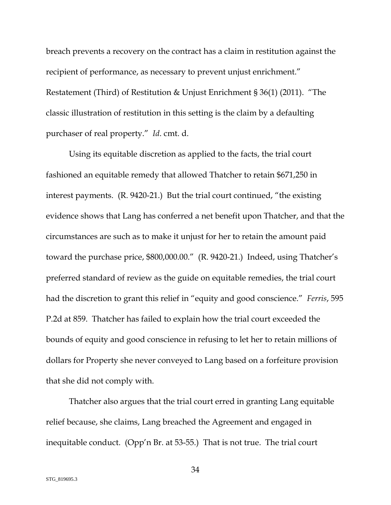breach prevents a recovery on the contract has a claim in restitution against the recipient of performance, as necessary to prevent unjust enrichment." Restatement (Third) of Restitution & Unjust Enrichment § 36(1) (2011). "The classic illustration of restitution in this setting is the claim by a defaulting purchaser of real property." *Id*. cmt. d.

Using its equitable discretion as applied to the facts, the trial court fashioned an equitable remedy that allowed Thatcher to retain \$671,250 in interest payments. (R. 9420-21.) But the trial court continued, "the existing evidence shows that Lang has conferred a net benefit upon Thatcher, and that the circumstances are such as to make it unjust for her to retain the amount paid toward the purchase price, \$800,000.00." (R. 9420-21.) Indeed, using Thatcher's preferred standard of review as the guide on equitable remedies, the trial court had the discretion to grant this relief in "equity and good conscience." *Ferris*, 595 P.2d at 859. Thatcher has failed to explain how the trial court exceeded the bounds of equity and good conscience in refusing to let her to retain millions of dollars for Property she never conveyed to Lang based on a forfeiture provision that she did not comply with.

Thatcher also argues that the trial court erred in granting Lang equitable relief because, she claims, Lang breached the Agreement and engaged in inequitable conduct. (Opp'n Br. at 53-55.) That is not true. The trial court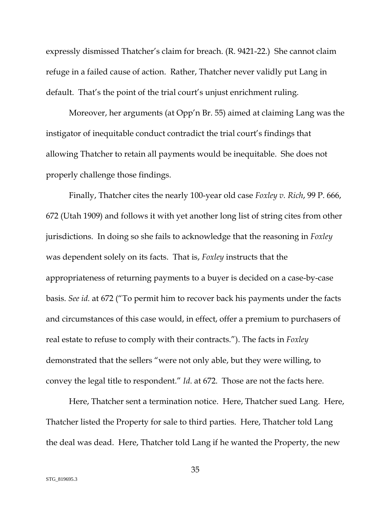expressly dismissed Thatcher's claim for breach. (R. 9421-22.) She cannot claim refuge in a failed cause of action. Rather, Thatcher never validly put Lang in default. That's the point of the trial court's unjust enrichment ruling.

Moreover, her arguments (at Opp'n Br. 55) aimed at claiming Lang was the instigator of inequitable conduct contradict the trial court's findings that allowing Thatcher to retain all payments would be inequitable. She does not properly challenge those findings.

Finally, Thatcher cites the nearly 100-year old case *Foxley v. Rich*, 99 P. 666, 672 (Utah 1909) and follows it with yet another long list of string cites from other jurisdictions. In doing so she fails to acknowledge that the reasoning in *Foxley* was dependent solely on its facts. That is, *Foxley* instructs that the appropriateness of returning payments to a buyer is decided on a case-by-case basis. *See id.* at 672 ("To permit him to recover back his payments under the facts and circumstances of this case would, in effect, offer a premium to purchasers of real estate to refuse to comply with their contracts."). The facts in *Foxley* demonstrated that the sellers "were not only able, but they were willing, to convey the legal title to respondent." *Id*. at 672. Those are not the facts here.

<span id="page-41-0"></span>Here, Thatcher sent a termination notice. Here, Thatcher sued Lang. Here, Thatcher listed the Property for sale to third parties. Here, Thatcher told Lang the deal was dead. Here, Thatcher told Lang if he wanted the Property, the new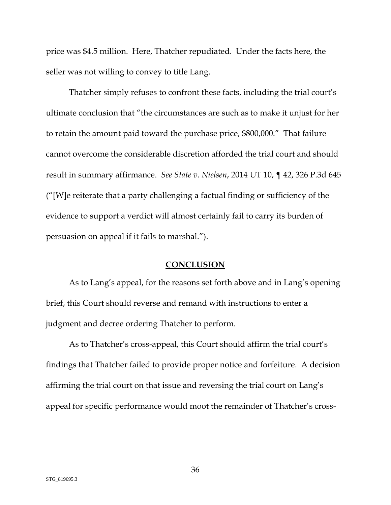price was \$4.5 million. Here, Thatcher repudiated. Under the facts here, the seller was not willing to convey to title Lang.

Thatcher simply refuses to confront these facts, including the trial court's ultimate conclusion that "the circumstances are such as to make it unjust for her to retain the amount paid toward the purchase price, \$800,000." That failure cannot overcome the considerable discretion afforded the trial court and should result in summary affirmance. *See State v. Nielsen*, 2014 UT 10, ¶ 42, 326 P.3d 645 ("[W]e reiterate that a party challenging a factual finding or sufficiency of the evidence to support a verdict will almost certainly fail to carry its burden of persuasion on appeal if it fails to marshal.").

#### **CONCLUSION**

<span id="page-42-0"></span>As to Lang's appeal, for the reasons set forth above and in Lang's opening brief, this Court should reverse and remand with instructions to enter a judgment and decree ordering Thatcher to perform.

As to Thatcher's cross-appeal, this Court should affirm the trial court's findings that Thatcher failed to provide proper notice and forfeiture. A decision affirming the trial court on that issue and reversing the trial court on Lang's appeal for specific performance would moot the remainder of Thatcher's cross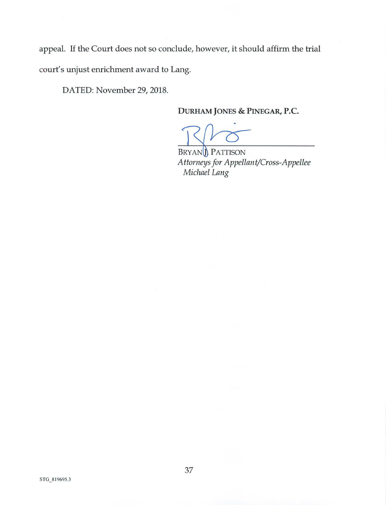appeal. If the Court does not so conclude, however, it should affirm the trial court's unjust enrichment award to Lang.

DATED: November 29, 2018.

DURHAM JONES & PINEGAR, P.C.

BRYAND PATTISON *Attorneys for Appellant/Cross-Appellee Michael Lang*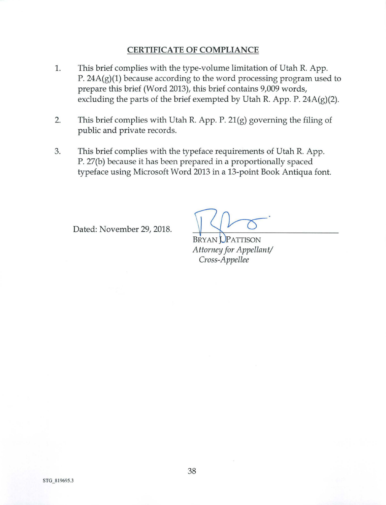### **CERTIFICATE OF COMPLIANCE**

- 1. This brief complies with the type-volume limitation of Utah R. App. P. 24A(g)(1) because according to the word processing program used to prepare this brief (Word 2013), this brief contains 9,009 words, excluding the parts of the brief exempted by Utah R. App. P.  $24A(g)(2)$ .
- 2. This brief complies with Utah R. App. P. 21(g) governing the filing of public and private records.
- 3. This brief complies with the typeface requirements of Utah R. App. P. 27(b) because it has been prepared in a proportionally spaced typeface using Microsoft Word 2013 in a 13-point Book Antiqua font.

Dated: November 29, 2018.

**BRYAN UPATTISON** *Attorney for Appellant/ Cross-Appellee*